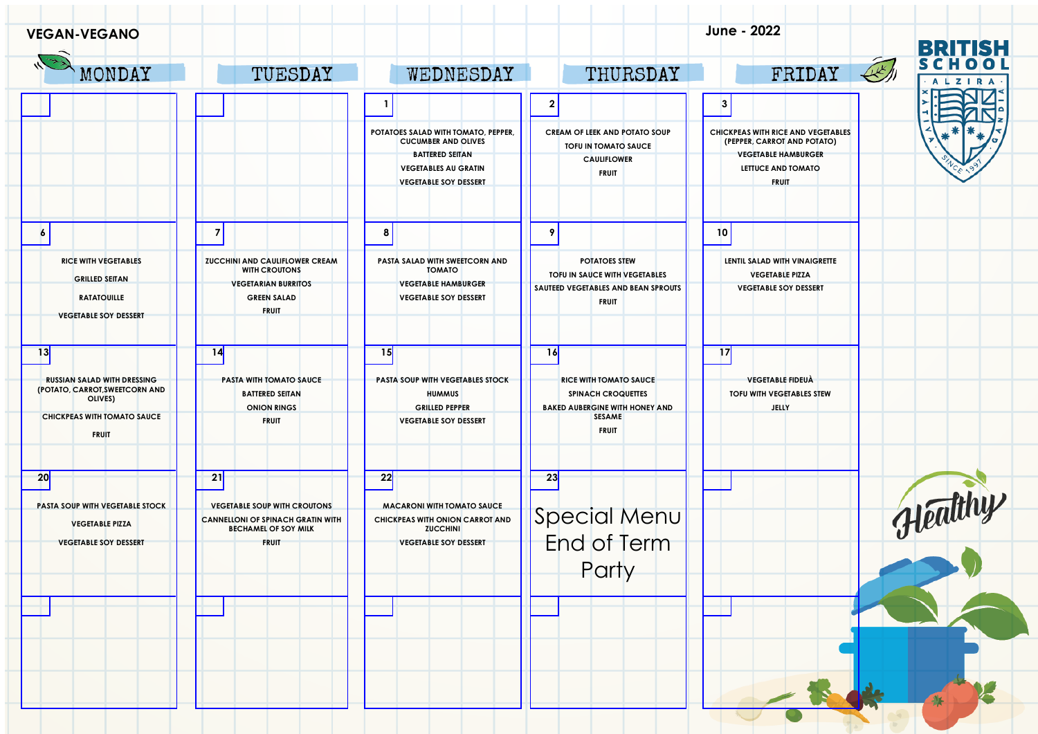| <b>VEGAN-VEGANO</b>                                                             |                                                                                                                |                                                                                         |                                                                                                     | June - 2022                                                              | <b>BRITISH</b>        |
|---------------------------------------------------------------------------------|----------------------------------------------------------------------------------------------------------------|-----------------------------------------------------------------------------------------|-----------------------------------------------------------------------------------------------------|--------------------------------------------------------------------------|-----------------------|
| MONDAY                                                                          | TUESDAY                                                                                                        | WEDNESDAY                                                                               | THURSDAY                                                                                            | FRIDAY                                                                   | 45/1<br><b>ALZIRA</b> |
|                                                                                 |                                                                                                                |                                                                                         | $\mathbf{2}$                                                                                        | $\vert$ 3                                                                |                       |
|                                                                                 |                                                                                                                | POTATOES SALAD WITH TOMATO, PEPPER.<br><b>CUCUMBER AND OLIVES</b>                       | CREAM OF LEEK AND POTATO SOUP<br><b>TOFU IN TOMATO SAUCE</b>                                        | <b>CHICKPEAS WITH RICE AND VEGETABLES</b><br>(PEPPER, CARROT AND POTATO) |                       |
|                                                                                 |                                                                                                                | <b>BATTERED SEITAN</b><br><b>VEGETABLES AU GRATIN</b><br><b>VEGETABLE SOY DESSERT</b>   | <b>CAULIFLOWER</b><br><b>FRUIT</b>                                                                  | <b>VEGETABLE HAMBURGER</b><br>LETTUCE AND TOMATO<br><b>FRUIT</b>         |                       |
| $\overline{6}$                                                                  | $\overline{7}$                                                                                                 | 8                                                                                       | 9                                                                                                   | 10                                                                       |                       |
| <b>RICE WITH VEGETABLES</b><br><b>GRILLED SEITAN</b>                            | <b>ZUCCHINI AND CAULIFLOWER CREAM</b><br><b>WITH CROUTONS</b>                                                  | PASTA SALAD WITH SWEETCORN AND<br><b>TOMATO</b>                                         | <b>POTATOES STEW</b><br>TOFU IN SAUCE WITH VEGETABLES                                               | LENTIL SALAD WITH VINAIGRETTE<br><b>VEGETABLE PIZZA</b>                  |                       |
| <b>RATATOUILLE</b><br><b>VEGETABLE SOY DESSERT</b>                              | <b>VEGETARIAN BURRITOS</b><br><b>GREEN SALAD</b><br><b>FRUIT</b>                                               | <b>VEGETABLE HAMBURGER</b><br><b>VEGETABLE SOY DESSERT</b>                              | SAUTEED VEGETABLES AND BEAN SPROUTS<br><b>FRUIT</b>                                                 | <b>VEGETABLE SOY DESSERT</b>                                             |                       |
| 13                                                                              | 14                                                                                                             | 15                                                                                      | 16                                                                                                  | 17                                                                       |                       |
| <b>RUSSIAN SALAD WITH DRESSING</b><br>(POTATO, CARROT, SWEETCORN AND<br>OLIVES) | <b>PASTA WITH TOMATO SAUCE</b><br><b>BATTERED SEITAN</b><br><b>ONION RINGS</b>                                 | <b>PASTA SOUP WITH VEGETABLES STOCK</b><br><b>HUMMUS</b><br><b>GRILLED PEPPER</b>       | <b>RICE WITH TOMATO SAUCE</b><br><b>SPINACH CROQUETTES</b><br><b>BAKED AUBERGINE WITH HONEY AND</b> | <b>VEGETABLE FIDEUÀ</b><br>TOFU WITH VEGETABLES STEW<br><b>JELLY</b>     |                       |
| <b>CHICKPEAS WITH TOMATO SAUCE</b><br><b>FRUIT</b>                              | <b>FRUIT</b>                                                                                                   | <b>VEGETABLE SOY DESSERT</b>                                                            | <b>SESAME</b><br><b>FRUIT</b>                                                                       |                                                                          |                       |
| 20                                                                              | 21                                                                                                             | 22                                                                                      | 23                                                                                                  |                                                                          |                       |
| PASTA SOUP WITH VEGETABLE STOCK<br><b>VEGETABLE PIZZA</b>                       | <b>VEGETABLE SOUP WITH CROUTONS</b><br><b>CANNELLONI OF SPINACH GRATIN WITH</b><br><b>BECHAMEL OF SOY MILK</b> | <b>MACARONI WITH TOMATO SAUCE</b><br>CHICKPEAS WITH ONION CARROT AND<br><b>ZUCCHINI</b> | Special Menu                                                                                        |                                                                          | Healthy               |
| <b>VEGETABLE SOY DESSERT</b>                                                    | <b>FRUIT</b>                                                                                                   | <b>VEGETABLE SOY DESSERT</b>                                                            | Party                                                                                               |                                                                          |                       |
|                                                                                 |                                                                                                                |                                                                                         |                                                                                                     |                                                                          |                       |
|                                                                                 |                                                                                                                |                                                                                         |                                                                                                     |                                                                          |                       |
|                                                                                 |                                                                                                                |                                                                                         |                                                                                                     |                                                                          |                       |